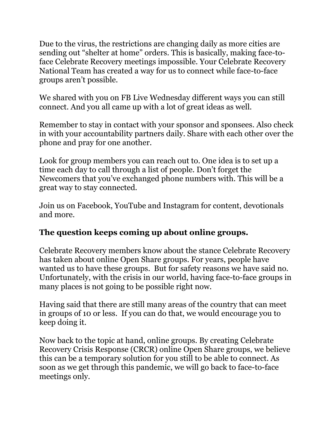Due to the virus, the restrictions are changing daily as more cities are sending out "shelter at home" orders. This is basically, making face-toface Celebrate Recovery meetings impossible. Your Celebrate Recovery National Team has created a way for us to connect while face-to-face groups aren't possible.

We shared with you on FB Live Wednesday different ways you can still connect. And you all came up with a lot of great ideas as well.

Remember to stay in contact with your sponsor and sponsees. Also check in with your accountability partners daily. Share with each other over the phone and pray for one another.

Look for group members you can reach out to. One idea is to set up a time each day to call through a list of people. Don't forget the Newcomers that you've exchanged phone numbers with. This will be a great way to stay connected.

Join us on Facebook, YouTube and Instagram for content, devotionals and more.

## **The question keeps coming up about online groups.**

Celebrate Recovery members know about the stance Celebrate Recovery has taken about online Open Share groups. For years, people have wanted us to have these groups. But for safety reasons we have said no. Unfortunately, with the crisis in our world, having face-to-face groups in many places is not going to be possible right now.

Having said that there are still many areas of the country that can meet in groups of 10 or less. If you can do that, we would encourage you to keep doing it.

Now back to the topic at hand, online groups. By creating Celebrate Recovery Crisis Response (CRCR) online Open Share groups, we believe this can be a temporary solution for you still to be able to connect. As soon as we get through this pandemic, we will go back to face-to-face meetings only.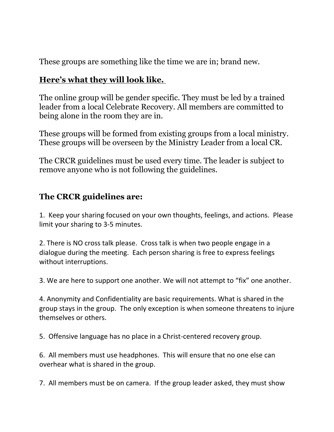These groups are something like the time we are in; brand new.

## **Here's what they will look like.**

The online group will be gender specific. They must be led by a trained leader from a local Celebrate Recovery. All members are committed to being alone in the room they are in.

These groups will be formed from existing groups from a local ministry. These groups will be overseen by the Ministry Leader from a local CR.

The CRCR guidelines must be used every time. The leader is subject to remove anyone who is not following the guidelines.

## **The CRCR guidelines are:**

1. Keep your sharing focused on your own thoughts, feelings, and actions. Please limit your sharing to 3-5 minutes.

2. There is NO cross talk please. Cross talk is when two people engage in a dialogue during the meeting. Each person sharing is free to express feelings without interruptions.

3. We are here to support one another. We will not attempt to "fix" one another.

4. Anonymity and Confidentiality are basic requirements. What is shared in the group stays in the group. The only exception is when someone threatens to injure themselves or others.

5. Offensive language has no place in a Christ-centered recovery group.

6. All members must use headphones. This will ensure that no one else can overhear what is shared in the group.

7. All members must be on camera. If the group leader asked, they must show